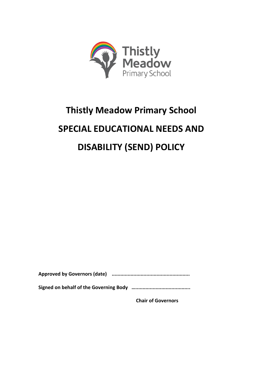

# **Thistly Meadow Primary School SPECIAL EDUCATIONAL NEEDS AND DISABILITY (SEND) POLICY**

**Approved by Governors (date) ......................................................**

**Signed on behalf of the Governing Body …......................................**

**Chair of Governors**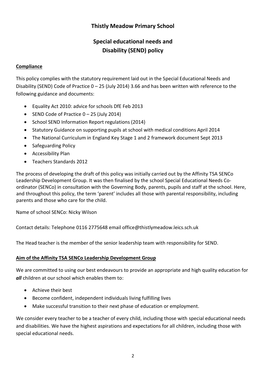# **Thistly Meadow Primary School**

# **Special educational needs and Disability (SEND) policy**

#### **Compliance**

This policy complies with the statutory requirement laid out in the Special Educational Needs and Disability (SEND) Code of Practice 0 – 25 (July 2014) 3.66 and has been written with reference to the following guidance and documents:

- Equality Act 2010: advice for schools DfE Feb 2013
- SEND Code of Practice  $0 25$  (July 2014)
- School SEND Information Report regulations (2014)
- Statutory Guidance on supporting pupils at school with medical conditions April 2014
- The National Curriculum in England Key Stage 1 and 2 framework document Sept 2013
- Safeguarding Policy
- Accessibility Plan
- Teachers Standards 2012

The process of developing the draft of this policy was initially carried out by the Affinity TSA SENCo Leadership Development Group. It was then finalised by the school Special Educational Needs Coordinator (SENCo) in consultation with the Governing Body, parents, pupils and staff at the school. Here, and throughout this policy, the term 'parent' includes all those with parental responsibility, including parents and those who care for the child.

Name of school SENCo: Nicky Wilson

Contact details: Telephone 0116 2775648 email office@thistlymeadow.leics.sch.uk

The Head teacher is the member of the senior leadership team with responsibility for SEND.

#### **Aim of the Affinity TSA SENCo Leadership Development Group**

We are committed to using our best endeavours to provide an appropriate and high quality education for *all* children at our school which enables them to:

- Achieve their best
- Become confident, independent individuals living fulfilling lives
- Make successful transition to their next phase of education or employment.

We consider every teacher to be a teacher of every child, including those with special educational needs and disabilities. We have the highest aspirations and expectations for all children, including those with special educational needs.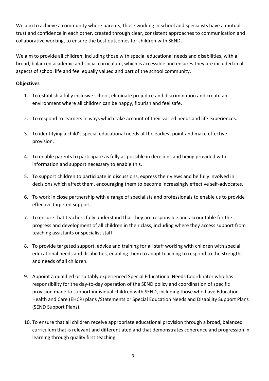We aim to achieve a community where parents, those working in school and specialists have a mutual trust and confidence in each other, created through clear, consistent approaches to communication and collaborative working, to ensure the best outcomes for children with SEND**.**

We aim to provide all children, including those with special educational needs and disabilities, with a broad, balanced academic and social curriculum, which is accessible and ensures they are included in all aspects of school life and feel equally valued and part of the school community.

#### **Objectives**

- 1. To establish a fully inclusive school, eliminate prejudice and discrimination and create an environment where all children can be happy, flourish and feel safe.
- 2. To respond to learners in ways which take account of their varied needs and life experiences.
- 3. To identifying a child's special educational needs at the earliest point and make effective provision.
- 4. To enable parents to participate as fully as possible in decisions and being provided with information and support necessary to enable this.
- 5. To support children to participate in discussions, express their views and be fully involved in decisions which affect them, encouraging them to become increasingly effective self-advocates.
- 6. To work in close partnership with a range of specialists and professionals to enable us to provide effective targeted support.
- 7. To ensure that teachers fully understand that they are responsible and accountable for the progress and development of all children in their class, including where they access support from teaching assistants or specialist staff.
- 8. To provide targeted support, advice and training for all staff working with children with special educational needs and disabilities, enabling them to adapt teaching to respond to the strengths and needs of all children.
- 9. Appoint a qualified or suitably experienced Special Educational Needs Coordinator who has responsibility for the day-to-day operation of the SEND policy and coordination of specific provision made to support individual children with SEND, including those who have Education Health and Care (EHCP) plans /Statements or Special Education Needs and Disability Support Plans (SEND Support Plans).
- 10. To ensure that all children receive appropriate educational provision through a broad, balanced curriculum that is relevant and differentiated and that demonstrates coherence and progression in learning through quality first teaching.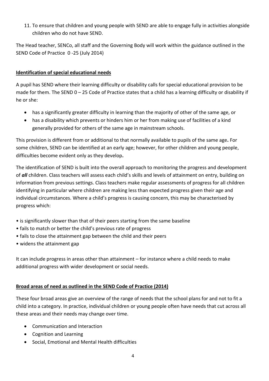11. To ensure that children and young people with SEND are able to engage fully in activities alongside children who do not have SEND.

The Head teacher, SENCo, all staff and the Governing Body will work within the guidance outlined in the SEND Code of Practice 0 -25 (July 2014)

# **Identification of special educational needs**

A pupil has SEND where their learning difficulty or disability calls for special educational provision to be made for them. The SEND  $0 - 25$  Code of Practice states that a child has a learning difficulty or disability if he or she:

- has a significantly greater difficulty in learning than the majority of other of the same age, or
- has a disability which prevents or hinders him or her from making use of facilities of a kind generally provided for others of the same age in mainstream schools.

This provision is different from or additional to that normally available to pupils of the same age**.** For some children, SEND can be identified at an early age; however, for other children and young people, difficulties become evident only as they develop**.**

The identification of SEND is built into the overall approach to monitoring the progress and development of *all* children. Class teachers will assess each child's skills and levels of attainment on entry, building on information from previous settings. Class teachers make regular assessments of progress for all children identifying in particular where children are making less than expected progress given their age and individual circumstances. Where a child's progress is causing concern, this may be characterised by progress which:

- is significantly slower than that of their peers starting from the same baseline
- fails to match or better the child's previous rate of progress
- fails to close the attainment gap between the child and their peers
- widens the attainment gap

It can include progress in areas other than attainment – for instance where a child needs to make additional progress with wider development or social needs.

## **Broad areas of need as outlined in the SEND Code of Practice (2014)**

These four broad areas give an overview of the range of needs that the school plans for and not to fit a child into a category. In practice, individual children or young people often have needs that cut across all these areas and their needs may change over time.

- Communication and Interaction
- Cognition and Learning
- Social, Emotional and Mental Health difficulties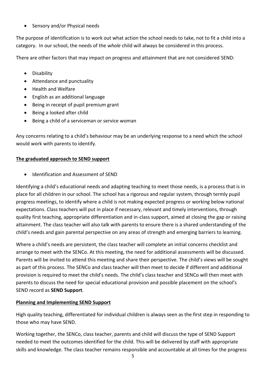• Sensory and/or Physical needs

The purpose of identification is to work out what action the school needs to take, not to fit a child into a category. In our school, the needs of the *whole* child will always be considered in this process.

There are other factors that may impact on progress and attainment that are not considered SEND:

- **•** Disability
- Attendance and punctuality
- Health and Welfare
- English as an additional language
- Being in receipt of pupil premium grant
- Being a looked after child
- Being a child of a serviceman or service woman

Any concerns relating to a child's behaviour may be an underlying response to a need which the school would work with parents to identify.

#### **The graduated approach to SEND support**

Identification and Assessment of SEND

Identifying a child's educational needs and adapting teaching to meet those needs, is a process that is in place for all children in our school. The school has a rigorous and regular system, through termly pupil progress meetings, to identify where a child is not making expected progress or working below national expectations. Class teachers will put in place if necessary, relevant and timely interventions, through quality first teaching, appropriate differentiation and in-class support, aimed at closing the gap or raising attainment. The class teacher will also talk with parents to ensure there is a shared understanding of the child's needs and gain parental perspective on any areas of strength and emerging barriers to learning.

Where a child's needs are persistent, the class teacher will complete an initial concerns checklist and arrange to meet with the SENCo. At this meeting, the need for additional assessments will be discussed. Parents will be invited to attend this meeting and share their perspective. The child's views will be sought as part of this process. The SENCo and class teacher will then meet to decide if different and additional provision is required to meet the child's needs. The child's class teacher and SENCo will then meet with parents to discuss the need for special educational provision and possible placement on the school's SEND record as **SEND Support**.

#### **Planning and Implementing SEND Support**

High quality teaching, differentiated for individual children is always seen as the first step in responding to those who may have SEND.

Working together, the SENCo, class teacher, parents and child will discuss the type of SEND Support needed to meet the outcomes identified for the child. This will be delivered by staff with appropriate skills and knowledge. The class teacher remains responsible and accountable at all times for the progress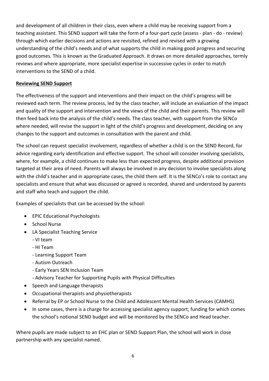and development of all children in their class, even where a child may be receiving support from a teaching assistant. This SEND support will take the form of a four-part cycle (assess - plan - do - review) through which earlier decisions and actions are revisited, refined and revised with a growing understanding of the child's needs and of what supports the child in making good progress and securing good outcomes. This is known as the Graduated Approach. It draws on more detailed approaches, termly reviews and where appropriate, more specialist expertise in successive cycles in order to match interventions to the SEND of a child.

#### **Reviewing SEND Support**

The effectiveness of the support and interventions and their impact on the child's progress will be reviewed each term. The review process, led by the class teacher, will include an evaluation of the impact and quality of the support and intervention and the views of the child and their parents. This review will then feed back into the analysis of the child's needs. The class teacher, with support from the SENCo where needed, will revise the support in light of the child's progress and development, deciding on any changes to the support and outcomes in consultation with the parent and child.

The school can request specialist involvement, regardless of whether a child is on the SEND Record, for advice regarding early identification and effective support. The school will consider involving specialists, where, for example, a child continues to make less than expected progress, despite additional provision targeted at their area of need. Parents will always be involved in any decision to involve specialists along with the child's teacher and in appropriate cases, the child them self. It is the SENCo's role to contact any specialists and ensure that what was discussed or agreed is recorded, shared and understood by parents and staff who teach and support the child.

Examples of specialists that can be accessed by the school:

- EPIC Educational Psychologists
- School Nurse
- LA Specialist Teaching Service
	- VI team
	- HI Team
	- Learning Support Team
	- Autism Outreach
	- Early Years SEN Inclusion Team
	- Advisory Teacher for Supporting Pupils with Physical Difficulties
- Speech and Language therapists
- Occupational therapists and physiotherapists
- Referral by EP or School Nurse to the Child and Adolescent Mental Health Services (CAMHS)
- In some cases, there is a charge for accessing specialist agency support; funding for which comes the school's notional SEND budget and will be monitored by the SENCo and Head teacher.

Where pupils are made subject to an EHC plan or SEND Support Plan, the school will work in close partnership with any specialist named.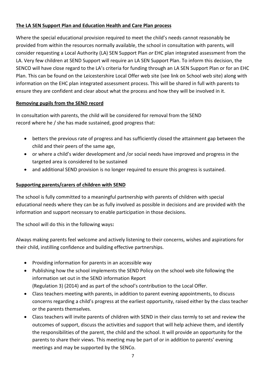# **The LA SEN Support Plan and Education Health and Care Plan process**

Where the special educational provision required to meet the child's needs cannot reasonably be provided from within the resources normally available, the school in consultation with parents, will consider requesting a Local Authority (LA) SEN Support Plan *or* EHC plan integrated assessment from the LA. Very few children at SEND Support will require an LA SEN Support Plan. To inform this decision, the SENCO will have close regard to the LA's criteria for funding through an LA SEN Support Plan or for an EHC Plan. This can be found on the Leicestershire Local Offer web site (see link on School web site) along with information on the EHC plan integrated assessment process. This will be shared in full with parents to ensure they are confident and clear about what the process and how they will be involved in it.

#### **Removing pupils from the SEND record**

In consultation with parents, the child will be considered for removal from the SEND record where he / she has made sustained, good progress that:

- betters the previous rate of progress and has sufficiently closed the attainment gap between the child and their peers of the same age,
- or where a child's wider development and /or social needs have improved and progress in the targeted area is considered to be sustained
- and additional SEND provision is no longer required to ensure this progress is sustained.

#### **Supporting parents/carers of children with SEND**

The school is fully committed to a meaningful partnership with parents of children with special educational needs where they can be as fully involved as possible in decisions and are provided with the information and support necessary to enable participation in those decisions.

The school will do this in the following ways**:**

Always making parents feel welcome and actively listening to their concerns, wishes and aspirations for their child, instilling confidence and building effective partnerships.

- Providing information for parents in an accessible way
- Publishing how the school implements the SEND Policy on the school web site following the information set out in the SEND information Report (Regulation 3) (2014) and as part of the school's contribution to the Local Offer.
- Class teachers meeting with parents, in addition to parent evening appointments, to discuss concerns regarding a child's progress at the earliest opportunity, raised either by the class teacher or the parents themselves.
- Class teachers will invite parents of children with SEND in their class termly to set and review the outcomes of support, discuss the activities and support that will help achieve them, and identify the responsibilities of the parent, the child and the school. It will provide an opportunity for the parents to share their views. This meeting may be part of or in addition to parents' evening meetings and may be supported by the SENCo.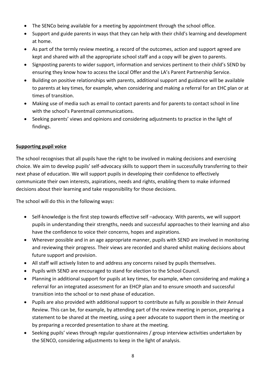- The SENCo being available for a meeting by appointment through the school office.
- Support and guide parents in ways that they can help with their child's learning and development at home.
- As part of the termly review meeting, a record of the outcomes, action and support agreed are kept and shared with all the appropriate school staff and a copy will be given to parents.
- Signposting parents to wider support, information and services pertinent to their child's SEND by ensuring they know how to access the Local Offer and the LA's Parent Partnership Service.
- Building on positive relationships with parents, additional support and guidance will be available to parents at key times, for example, when considering and making a referral for an EHC plan or at times of transition.
- Making use of media such as email to contact parents and for parents to contact school in line with the school's Parentmail communications.
- Seeking parents' views and opinions and considering adjustments to practice in the light of findings.

## **Supporting pupil voice**

The school recognises that all pupils have the right to be involved in making decisions and exercising choice. We aim to develop pupils' self-advocacy skills to support them in successfully transferring to their next phase of education. We will support pupils in developing their confidence to effectively communicate their own interests, aspirations, needs and rights, enabling them to make informed decisions about their learning and take responsibility for those decisions.

The school will do this in the following ways:

- Self-knowledge is the first step towards effective self-advocacy. With parents, we will support pupils in understanding their strengths, needs and successful approaches to their learning and also have the confidence to voice their concerns, hopes and aspirations.
- Wherever possible and in an age appropriate manner, pupils with SEND are involved in monitoring and reviewing their progress. Their views are recorded and shared whilst making decisions about future support and provision.
- All staff will actively listen to and address any concerns raised by pupils themselves.
- Pupils with SEND are encouraged to stand for election to the School Council.
- Planning in additional support for pupils at key times, for example, when considering and making a referral for an integrated assessment for an EHCP plan and to ensure smooth and successful transition into the school or to next phase of education.
- Pupils are also provided with additional support to contribute as fully as possible in their Annual Review. This can be, for example, by attending part of the review meeting in person, preparing a statement to be shared at the meeting, using a peer advocate to support them in the meeting or by preparing a recorded presentation to share at the meeting.
- Seeking pupils' views through regular questionnaires / group interview activities undertaken by the SENCO, considering adjustments to keep in the light of analysis.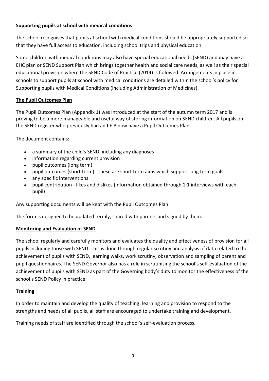# **Supporting pupils at school with medical conditions**

The school recognises that pupils at school with medical conditions should be appropriately supported so that they have full access to education, including school trips and physical education.

Some children with medical conditions may also have special educational needs (SEND) and may have a EHC plan or SEND Support Plan which brings together health and social care needs, as well as their special educational provision where the SEND Code of Practice (2014) is followed. Arrangements in place in schools to support pupils at school with medical conditions are detailed within the school's policy for Supporting pupils with Medical Conditions (including Administration of Medicines).

## **The Pupil Outcomes Plan**

The Pupil Outcomes Plan (Appendix 1) was introduced at the start of the autumn term 2017 and is proving to be a more manageable and useful way of storing information on SEND children. All pupils on the SEND register who previously had an I.E.P now have a Pupil Outcomes Plan.

The document contains:

- a summary of the child's SEND, including any diagnoses
- information regarding current provision
- pupil outcomes (long term)
- pupil outcomes (short term) these are short term aims which support long term goals.
- any specific interventions
- pupil contribution likes and dislikes (information obtained through 1:1 interviews with each pupil)

Any supporting documents will be kept with the Pupil Outcomes Plan.

The form is designed to be updated termly, shared with parents and signed by them.

## **Monitoring and Evaluation of SEND**

The school regularly and carefully monitors and evaluates the quality and effectiveness of provision for all pupils including those with SEND. This is done through regular scrutiny and analysis of data related to the achievement of pupils with SEND, learning walks, work scrutiny, observation and sampling of parent and pupil questionnaires. The SEND Governor also has a role in scrutinising the school's self-evaluation of the achievement of pupils with SEND as part of the Governing body's duty to monitor the effectiveness of the school's SEND Policy in practice.

## **Training**

In order to maintain and develop the quality of teaching, learning and provision to respond to the strengths and needs of all pupils, all staff are encouraged to undertake training and development.

Training needs of staff are identified through the school's self-evaluation process.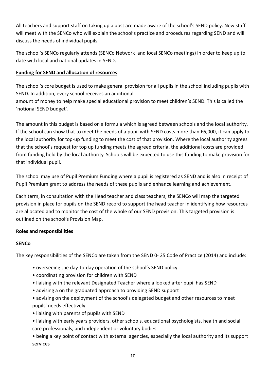All teachers and support staff on taking up a post are made aware of the school's SEND policy. New staff will meet with the SENCo who will explain the school's practice and procedures regarding SEND and will discuss the needs of individual pupils.

The school's SENCo regularly attends (SENCo Network and local SENCo meetings) in order to keep up to date with local and national updates in SEND.

## **Funding for SEND and allocation of resources**

The school's core budget is used to make general provision for all pupils in the school including pupils with SEND. In addition, every school receives an additional

amount of money to help make special educational provision to meet children's SEND. This is called the 'notional SEND budget'.

The amount in this budget is based on a formula which is agreed between schools and the local authority. If the school can show that to meet the needs of a pupil with SEND costs more than £6,000, it can apply to the local authority for top-up funding to meet the cost of that provision. Where the local authority agrees that the school's request for top up funding meets the agreed criteria, the additional costs are provided from funding held by the local authority. Schools will be expected to use this funding to make provision for that individual pupil.

The school may use of Pupil Premium Funding where a pupil is registered as SEND and is also in receipt of Pupil Premium grant to address the needs of these pupils and enhance learning and achievement.

Each term, in consultation with the Head teacher and class teachers, the SENCo will map the targeted provision in place for pupils on the SEND record to support the head teacher in identifying how resources are allocated and to monitor the cost of the whole of our SEND provision. This targeted provision is outlined on the school's Provision Map.

## **Roles and responsibilities**

## **SENCo**

The key responsibilities of the SENCo are taken from the SEND 0- 25 Code of Practice (2014) and include:

- overseeing the day-to-day operation of the school's SEND policy
- coordinating provision for children with SEND
- liaising with the relevant Designated Teacher where a looked after pupil has SEND
- advising a on the graduated approach to providing SEND support
- advising on the deployment of the school's delegated budget and other resources to meet pupils' needs effectively
- liaising with parents of pupils with SEND
- liaising with early years providers, other schools, educational psychologists, health and social care professionals, and independent or voluntary bodies

• being a key point of contact with external agencies, especially the local authority and its support services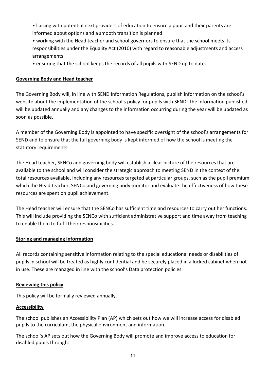- liaising with potential next providers of education to ensure a pupil and their parents are informed about options and a smooth transition is planned
- working with the Head teacher and school governors to ensure that the school meets its responsibilities under the Equality Act (2010) with regard to reasonable adjustments and access arrangements
- ensuring that the school keeps the records of all pupils with SEND up to date.

# **Governing Body and Head teacher**

The Governing Body will, in line with SEND Information Regulations, publish information on the school's website about the implementation of the school's policy for pupils with SEND. The information published will be updated annually and any changes to the information occurring during the year will be updated as soon as possible.

A member of the Governing Body is appointed to have specific oversight of the school's arrangements for SEND and to ensure that the full governing body is kept informed of how the school is meeting the statutory requirements.

The Head teacher, SENCo and governing body will establish a clear picture of the resources that are available to the school and will consider the strategic approach to meeting SEND in the context of the total resources available, including any resources targeted at particular groups, such as the pupil premium which the Head teacher, SENCo and governing body monitor and evaluate the effectiveness of how these resources are spent on pupil achievement.

The Head teacher will ensure that the SENCo has sufficient time and resources to carry out her functions. This will include providing the SENCo with sufficient administrative support and time away from teaching to enable them to fulfil their responsibilities.

## **Storing and managing information**

All records containing sensitive information relating to the special educational needs or disabilities of pupils in school will be treated as highly confidential and be securely placed in a locked cabinet when not in use. These are managed in line with the school's Data protection policies.

## **Reviewing this policy**

This policy will be formally reviewed annually.

## **Accessibility**

The school publishes an Accessibility Plan (AP) which sets out how we will increase access for disabled pupils to the curriculum, the physical environment and information.

The school's AP sets out how the Governing Body will promote and improve access to education for disabled pupils through: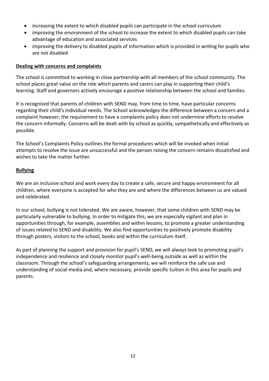- increasing the extent to which disabled pupils can participate in the school curriculum
- improving the environment of the school to increase the extent to which disabled pupils can take advantage of education and associated services
- improving the delivery to disabled pupils of information which is provided in writing for pupils who are not disabled

#### **Dealing with concerns and complaints**

The school is committed to working in close partnership with all members of the school community. The school places great value on the role which parents and carers can play in supporting their child's learning. Staff and governors actively encourage a positive relationship between the school and families.

It is recognised that parents of children with SEND may, from time to time, have particular concerns regarding their child's individual needs. The School acknowledges the difference between a concern and a complaint however; the requirement to have a complaints policy does not undermine efforts to resolve the concern informally. Concerns will be dealt with by school as quickly, sympathetically and effectively as possible.

The School's Complaints Policy outlines the formal procedures which will be invoked when initial attempts to resolve the issue are unsuccessful and the person raising the concern remains dissatisfied and wishes to take the matter further.

#### **Bullying**

We are an inclusive school and work every day to create a safe, secure and happy environment for all children, where everyone is accepted for who they are and where the differences between us are valued and celebrated.

In our school, bullying is not tolerated. We are aware, however, that some children with SEND may be particularly vulnerable to bullying. In order to mitigate this, we are especially vigilant and plan in opportunities through, for example, assemblies and within lessons, to promote a greater understanding of issues related to SEND and disability. We also find opportunities to positively promote disability through posters, visitors to the school, books and within the curriculum itself.

As part of planning the support and provision for pupil's SEND, we will always look to promoting pupil's independence and resilience and closely monitor pupil's well-being outside as well as within the classroom. Through the school's safeguarding arrangements, we will reinforce the safe use and understanding of social media and, where necessary, provide specific tuition in this area for pupils and parents.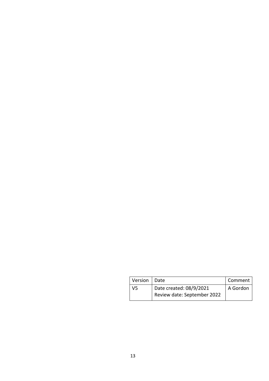| Version   Date |                             | Comment  |
|----------------|-----------------------------|----------|
| V5             | Date created: 08/9/2021     | A Gordon |
|                | Review date: September 2022 |          |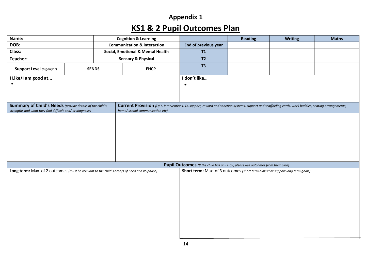# **Appendix 1 KS1 & 2 Pupil Outcomes Plan**

| Name:                                                                                       |                                                                                | <b>Cognition &amp; Learning</b>        |                                                                                                                                                    |                                                                               | <b>Reading</b> | <b>Writing</b> | <b>Maths</b> |  |  |
|---------------------------------------------------------------------------------------------|--------------------------------------------------------------------------------|----------------------------------------|----------------------------------------------------------------------------------------------------------------------------------------------------|-------------------------------------------------------------------------------|----------------|----------------|--------------|--|--|
| DOB:                                                                                        |                                                                                | <b>Communication &amp; interaction</b> |                                                                                                                                                    | End of previous year                                                          |                |                |              |  |  |
| Class:                                                                                      |                                                                                |                                        | Social, Emotional & Mental Health                                                                                                                  | T1                                                                            |                |                |              |  |  |
| Teacher:                                                                                    |                                                                                |                                        | <b>Sensory &amp; Physical</b>                                                                                                                      | T2                                                                            |                |                |              |  |  |
| <b>Support Level</b> (highlight)                                                            |                                                                                |                                        | <b>EHCP</b>                                                                                                                                        | T3                                                                            |                |                |              |  |  |
| <b>SENDS</b>                                                                                |                                                                                |                                        |                                                                                                                                                    |                                                                               |                |                |              |  |  |
| I Like/I am good at                                                                         |                                                                                |                                        |                                                                                                                                                    | I don't like                                                                  |                |                |              |  |  |
|                                                                                             |                                                                                |                                        |                                                                                                                                                    | $\bullet$                                                                     |                |                |              |  |  |
|                                                                                             |                                                                                |                                        |                                                                                                                                                    |                                                                               |                |                |              |  |  |
|                                                                                             |                                                                                |                                        |                                                                                                                                                    |                                                                               |                |                |              |  |  |
| Summary of Child's Needs (provide details of the child's                                    |                                                                                |                                        | Current Provision (QFT, interventions, TA support, reward and sanction systems, support and scaffolding cards, work buddies, seating arrangements, |                                                                               |                |                |              |  |  |
| strengths and what they find difficult and/ or diagnoses                                    |                                                                                |                                        | home/ school communication etc)                                                                                                                    |                                                                               |                |                |              |  |  |
|                                                                                             |                                                                                |                                        |                                                                                                                                                    |                                                                               |                |                |              |  |  |
|                                                                                             |                                                                                |                                        |                                                                                                                                                    |                                                                               |                |                |              |  |  |
|                                                                                             |                                                                                |                                        |                                                                                                                                                    |                                                                               |                |                |              |  |  |
|                                                                                             |                                                                                |                                        |                                                                                                                                                    |                                                                               |                |                |              |  |  |
|                                                                                             |                                                                                |                                        |                                                                                                                                                    |                                                                               |                |                |              |  |  |
|                                                                                             |                                                                                |                                        |                                                                                                                                                    |                                                                               |                |                |              |  |  |
|                                                                                             |                                                                                |                                        |                                                                                                                                                    |                                                                               |                |                |              |  |  |
|                                                                                             | Pupil Outcomes (If the child has an EHCP, please use outcomes from their plan) |                                        |                                                                                                                                                    |                                                                               |                |                |              |  |  |
| Long term: Max. of 2 outcomes (must be relevant to the child's area/s of need and KS phase) |                                                                                |                                        |                                                                                                                                                    | Short term: Max. of 3 outcomes (short term aims that support long term goals) |                |                |              |  |  |
|                                                                                             |                                                                                |                                        |                                                                                                                                                    |                                                                               |                |                |              |  |  |
|                                                                                             |                                                                                |                                        |                                                                                                                                                    |                                                                               |                |                |              |  |  |
|                                                                                             |                                                                                |                                        |                                                                                                                                                    |                                                                               |                |                |              |  |  |
|                                                                                             |                                                                                |                                        |                                                                                                                                                    |                                                                               |                |                |              |  |  |
|                                                                                             |                                                                                |                                        |                                                                                                                                                    |                                                                               |                |                |              |  |  |
|                                                                                             |                                                                                |                                        |                                                                                                                                                    |                                                                               |                |                |              |  |  |
|                                                                                             |                                                                                |                                        |                                                                                                                                                    |                                                                               |                |                |              |  |  |
|                                                                                             |                                                                                |                                        |                                                                                                                                                    |                                                                               |                |                |              |  |  |
|                                                                                             |                                                                                |                                        |                                                                                                                                                    |                                                                               |                |                |              |  |  |
|                                                                                             |                                                                                |                                        |                                                                                                                                                    |                                                                               |                |                |              |  |  |